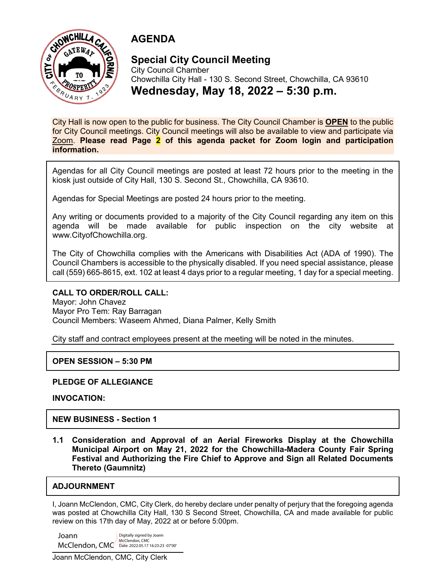

## **AGENDA**

## **Special City Council Meeting**

City Council Chamber Chowchilla City Hall - 130 S. Second Street, Chowchilla, CA 93610 **Wednesday, May 18, 2022 – 5:30 p.m.**

City Hall is now open to the public for business. The City Council Chamber is **OPEN** to the public for City Council meetings. City Council meetings will also be available to view and participate via Zoom. **Please read Page 2 of this agenda packet for Zoom login and participation information.**

Agendas for all City Council meetings are posted at least 72 hours prior to the meeting in the kiosk just outside of City Hall, 130 S. Second St., Chowchilla, CA 93610.

Agendas for Special Meetings are posted 24 hours prior to the meeting.

Any writing or documents provided to a majority of the City Council regarding any item on this agenda will be made available for public inspection on the city website at www.CityofChowchilla.org.

The City of Chowchilla complies with the Americans with Disabilities Act (ADA of 1990). The Council Chambers is accessible to the physically disabled. If you need special assistance, please call (559) 665-8615, ext. 102 at least 4 days prior to a regular meeting, 1 day for a special meeting.

#### **CALL TO ORDER/ROLL CALL:**

Mayor: John Chavez Mayor Pro Tem: Ray Barragan Council Members: Waseem Ahmed, Diana Palmer, Kelly Smith

City staff and contract employees present at the meeting will be noted in the minutes.

### **OPEN SESSION – 5:30 PM**

#### **PLEDGE OF ALLEGIANCE**

**INVOCATION:**

**NEW BUSINESS - Section 1**

**1.1 Consideration and Approval of an Aerial Fireworks Display at the Chowchilla Municipal Airport on May 21, 2022 for the Chowchilla-Madera County Fair Spring Festival and Authorizing the Fire Chief to Approve and Sign all Related Documents Thereto (Gaumnitz)**

### **ADJOURNMENT**

I, Joann McClendon, CMC, City Clerk, do hereby declare under penalty of perjury that the foregoing agenda was posted at Chowchilla City Hall, 130 S Second Street, Chowchilla, CA and made available for public review on this 17th day of May, 2022 at or before 5:00pm.

Joann McClendon, CMC Digitally signed by Joann<br>McClendon, CMC Date: 2022.05.17 16:23:23 -0<br>Joann McClendon, CMC, City Clerk McClendon, CMC Date: 2022.05.17 16:23:23 -07'00'Digitally signed by Joann McClendon, CMC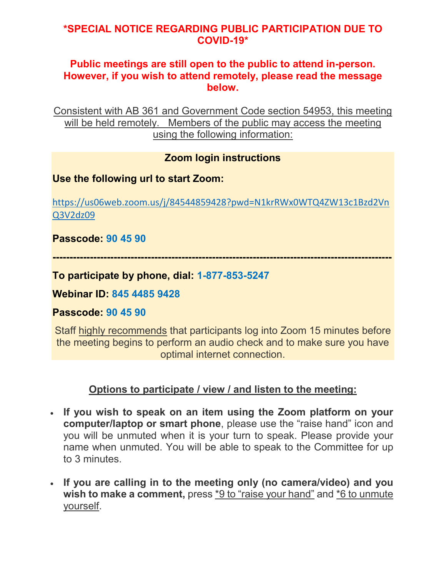## **\*SPECIAL NOTICE REGARDING PUBLIC PARTICIPATION DUE TO COVID-19\***

## **Public meetings are still open to the public to attend in-person. However, if you wish to attend remotely, please read the message below.**

Consistent with AB 361 and Government Code section 54953, this meeting will be held remotely. Members of the public may access the meeting using the following information:

## **Zoom login instructions**

## **Use the following url to start Zoom:**

[https://us06web.zoom.us/j/84544859428?pwd=N1krRWx0WTQ4ZW13c1Bzd2Vn](https://us06web.zoom.us/j/84544859428?pwd=N1krRWx0WTQ4ZW13c1Bzd2VnQ3V2dz09) [Q3V2dz09](https://us06web.zoom.us/j/84544859428?pwd=N1krRWx0WTQ4ZW13c1Bzd2VnQ3V2dz09)

**Passcode: 90 45 90**

**----------------------------------------------------------------------------------------------------**

**To participate by phone, dial: 1-877-853-5247**

**Webinar ID: 845 4485 9428**

**Passcode: 90 45 90**

Staff highly recommends that participants log into Zoom 15 minutes before the meeting begins to perform an audio check and to make sure you have optimal internet connection.

## **Options to participate / view / and listen to the meeting:**

- **If you wish to speak on an item using the Zoom platform on your computer/laptop or smart phone**, please use the "raise hand" icon and you will be unmuted when it is your turn to speak. Please provide your name when unmuted. You will be able to speak to the Committee for up to 3 minutes.
- **If you are calling in to the meeting only (no camera/video) and you wish to make a comment,** press \*9 to "raise your hand" and \*6 to unmute yourself.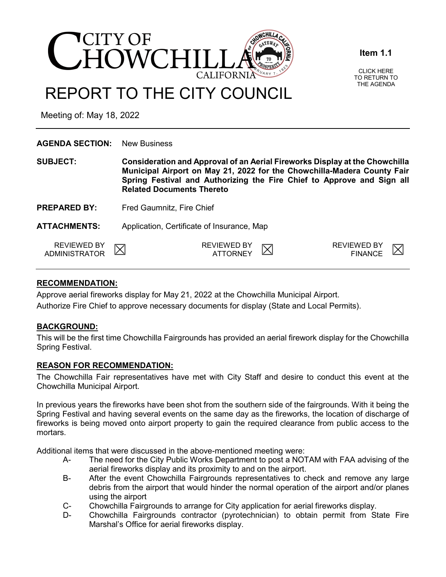

**Item 1.1**

CLICK HERE TO RETURN TO THE AGENDA

# REPORT TO THE CITY COUNCIL

Meeting of: May 18, 2022

| <b>AGENDA SECTION:</b>                     | <b>New Business</b>                                                                                                                                                                                                                                                  |                                       |  |                                      |  |  |  |
|--------------------------------------------|----------------------------------------------------------------------------------------------------------------------------------------------------------------------------------------------------------------------------------------------------------------------|---------------------------------------|--|--------------------------------------|--|--|--|
| <b>SUBJECT:</b>                            | Consideration and Approval of an Aerial Fireworks Display at the Chowchilla<br>Municipal Airport on May 21, 2022 for the Chowchilla-Madera County Fair<br>Spring Festival and Authorizing the Fire Chief to Approve and Sign all<br><b>Related Documents Thereto</b> |                                       |  |                                      |  |  |  |
| <b>PREPARED BY:</b>                        | Fred Gaumnitz, Fire Chief                                                                                                                                                                                                                                            |                                       |  |                                      |  |  |  |
| <b>ATTACHMENTS:</b>                        | Application, Certificate of Insurance, Map                                                                                                                                                                                                                           |                                       |  |                                      |  |  |  |
| <b>REVIEWED BY</b><br><b>ADMINISTRATOR</b> |                                                                                                                                                                                                                                                                      | <b>REVIEWED BY</b><br><b>ATTORNEY</b> |  | <b>REVIEWED BY</b><br><b>FINANCE</b> |  |  |  |

#### **RECOMMENDATION:**

Approve aerial fireworks display for May 21, 2022 at the Chowchilla Municipal Airport. Authorize Fire Chief to approve necessary documents for display (State and Local Permits).

## **BACKGROUND:**

This will be the first time Chowchilla Fairgrounds has provided an aerial firework display for the Chowchilla Spring Festival.

#### **REASON FOR RECOMMENDATION:**

The Chowchilla Fair representatives have met with City Staff and desire to conduct this event at the Chowchilla Municipal Airport.

In previous years the fireworks have been shot from the southern side of the fairgrounds. With it being the Spring Festival and having several events on the same day as the fireworks, the location of discharge of fireworks is being moved onto airport property to gain the required clearance from public access to the mortars.

Additional items that were discussed in the above-mentioned meeting were:

- A- The need for the City Public Works Department to post a NOTAM with FAA advising of the aerial fireworks display and its proximity to and on the airport.
- B- After the event Chowchilla Fairgrounds representatives to check and remove any large debris from the airport that would hinder the normal operation of the airport and/or planes using the airport
- C- Chowchilla Fairgrounds to arrange for City application for aerial fireworks display.
- D- Chowchilla Fairgrounds contractor (pyrotechnician) to obtain permit from State Fire Marshal's Office for aerial fireworks display.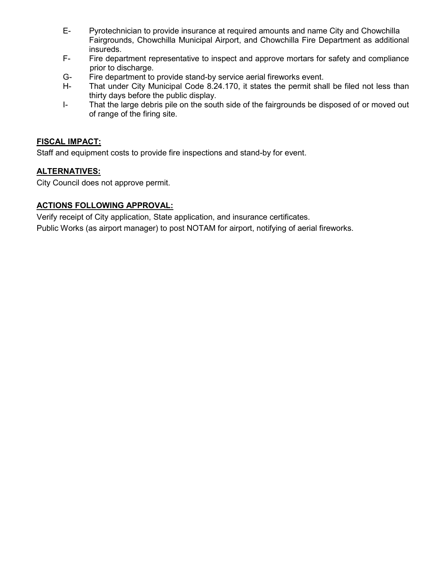- E- Pyrotechnician to provide insurance at required amounts and name City and Chowchilla Fairgrounds, Chowchilla Municipal Airport, and Chowchilla Fire Department as additional insureds.
- F- Fire department representative to inspect and approve mortars for safety and compliance prior to discharge.<br>G- Fire department to
- Fire department to provide stand-by service aerial fireworks event.
- H- That under City Municipal Code 8.24.170, it states the permit shall be filed not less than thirty days before the public display.
- I- That the large debris pile on the south side of the fairgrounds be disposed of or moved out of range of the firing site.

#### **FISCAL IMPACT:**

Staff and equipment costs to provide fire inspections and stand-by for event.

#### **ALTERNATIVES:**

City Council does not approve permit.

#### **ACTIONS FOLLOWING APPROVAL:**

Verify receipt of City application, State application, and insurance certificates.

Public Works (as airport manager) to post NOTAM for airport, notifying of aerial fireworks.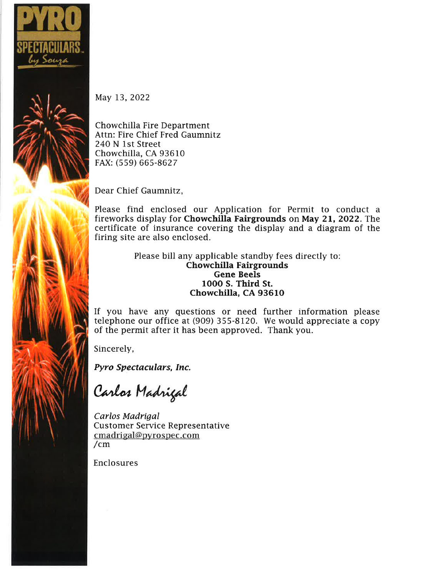

May 13, 2022

Chowchilla Fire Department Attn: Fire Chief Fred Gaumnitz 240 N 1st Street Chowchilla, CA 93610 FAX: (559) 665-8627

Dear Chief Gaumnitz,

Please find enclosed our Application for Permit to conduct a fireworks display for Chowchilla Fairgrounds on May 21, 2022. The certificate of insurance covering the display and a diagram of the firing site are also enclosed.

> Please bill any applicable standby fees directly to: **Chowchilla Fairgrounds Gene Beels** 1000 S. Third St. Chowchilla, CA 93610

If you have any questions or need further information please telephone our office at (909) 355-8120. We would appreciate a copy of the permit after it has been approved. Thank you.

Sincerely,

Pyro Spectaculars, Inc.

Carlos Madrigal

Carlos Madrigal **Customer Service Representative** cmadrigal@pyrospec.com  $/cm$ 

Enclosures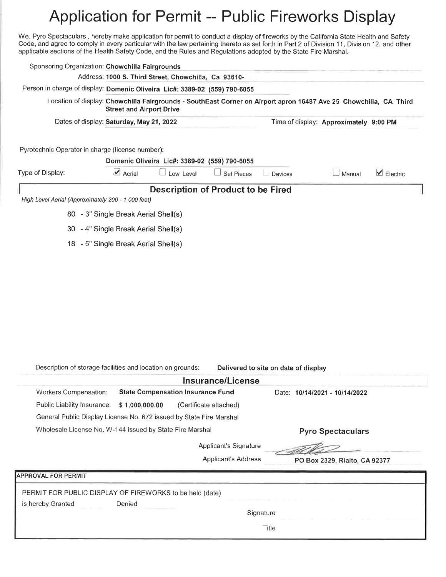# Application for Permit -- Public Fireworks Display

We, Pyro Spectaculars, hereby make application for permit to conduct a display of fireworks by the California State Health and Safety Code, and agree to comply in every particular with the law pertaining thereto as set forth in Part 2 of Division 11, Division 12, and other applicable sections of the Health Safety Code, and the Rules and Regulations adopted by the State Fire Marshal.

| Sponsoring Organization: Chowchilla Fairgrounds                            |                                                      |                                          |                  |                                               |                |                                                                                                                   |                           |
|----------------------------------------------------------------------------|------------------------------------------------------|------------------------------------------|------------------|-----------------------------------------------|----------------|-------------------------------------------------------------------------------------------------------------------|---------------------------|
|                                                                            | Address: 1000 S. Third Street, Chowchilla, Ca 93610- |                                          |                  |                                               |                |                                                                                                                   |                           |
| Person in charge of display: Domenic Oliveira Lic#: 3389-02 (559) 790-6055 |                                                      |                                          |                  |                                               |                |                                                                                                                   |                           |
|                                                                            |                                                      | <b>Street and Airport Drive</b>          |                  |                                               |                | Location of display: Chowchilla Fairgrounds - SouthEast Corner on Airport apron 16487 Ave 25 Chowchilla, CA Third |                           |
|                                                                            | Dates of display: Saturday, May 21, 2022             |                                          |                  |                                               |                | Time of display: Approximately 9:00 PM                                                                            |                           |
|                                                                            |                                                      |                                          |                  |                                               |                |                                                                                                                   |                           |
| Pyrotechnic Operator in charge (license number):                           |                                                      |                                          |                  |                                               |                |                                                                                                                   |                           |
|                                                                            |                                                      | $\vee$ Aerial                            |                  | Domenic Oliveira Lic#: 3389-02 (559) 790-6055 |                |                                                                                                                   |                           |
| Type of Display:                                                           |                                                      |                                          | $\Box$ Low Level | $\Box$ Set Pieces                             | $\Box$ Devices | J Manual                                                                                                          | $\triangleright$ Electric |
| High Level Aerial (Approximately 200 - 1,000 feet)                         |                                                      |                                          |                  | <b>Description of Product to be Fired</b>     |                |                                                                                                                   |                           |
|                                                                            | 80 - 3" Single Break Aerial Shell(s)                 |                                          |                  |                                               |                |                                                                                                                   |                           |
|                                                                            | 30 - 4" Single Break Aerial Shell(s)                 |                                          |                  |                                               |                |                                                                                                                   |                           |
|                                                                            | 18 - 5" Single Break Aerial Shell(s)                 |                                          |                  |                                               |                |                                                                                                                   |                           |
|                                                                            |                                                      |                                          |                  |                                               |                |                                                                                                                   |                           |
|                                                                            |                                                      |                                          |                  |                                               |                |                                                                                                                   |                           |
|                                                                            |                                                      |                                          |                  |                                               |                |                                                                                                                   |                           |
|                                                                            |                                                      |                                          |                  |                                               |                |                                                                                                                   |                           |
|                                                                            |                                                      |                                          |                  |                                               |                |                                                                                                                   |                           |
|                                                                            |                                                      |                                          |                  |                                               |                |                                                                                                                   |                           |
|                                                                            |                                                      |                                          |                  |                                               |                |                                                                                                                   |                           |
|                                                                            |                                                      |                                          |                  |                                               |                |                                                                                                                   |                           |
|                                                                            |                                                      |                                          |                  |                                               |                |                                                                                                                   |                           |
| Description of storage facilities and location on grounds:                 |                                                      |                                          |                  | Delivered to site on date of display          |                |                                                                                                                   |                           |
|                                                                            |                                                      |                                          |                  | Insurance/License                             |                |                                                                                                                   |                           |
| Workers Compensation:                                                      |                                                      | <b>State Compensation Insurance Fund</b> |                  |                                               |                | Date: 10/14/2021 - 10/14/2022                                                                                     |                           |
| Public Liability Insurance:                                                |                                                      | \$1,000,000.00                           |                  | (Certificate attached)                        |                |                                                                                                                   |                           |
| General Public Display License No. 672 issued by State Fire Marshal        |                                                      |                                          |                  |                                               |                |                                                                                                                   |                           |
| Wholesale License No. W-144 issued by State Fire Marshal                   |                                                      |                                          |                  |                                               |                | <b>Pyro Spectaculars</b>                                                                                          |                           |
|                                                                            |                                                      |                                          |                  | Applicant's Signature                         |                |                                                                                                                   |                           |
|                                                                            |                                                      |                                          |                  | <b>Applicant's Address</b>                    |                | PO Box 2329, Rialto, CA 92377                                                                                     |                           |
| <b>APPROVAL FOR PERMIT</b>                                                 |                                                      |                                          |                  |                                               |                |                                                                                                                   |                           |
| PERMIT FOR PUBLIC DISPLAY OF FIREWORKS to be held (date)                   |                                                      |                                          |                  |                                               |                |                                                                                                                   |                           |
| is hereby Granted                                                          |                                                      | Denied                                   |                  |                                               |                |                                                                                                                   |                           |
|                                                                            |                                                      |                                          |                  |                                               | Signature      |                                                                                                                   |                           |
|                                                                            |                                                      |                                          |                  |                                               | Title          |                                                                                                                   |                           |
|                                                                            |                                                      |                                          |                  |                                               |                |                                                                                                                   |                           |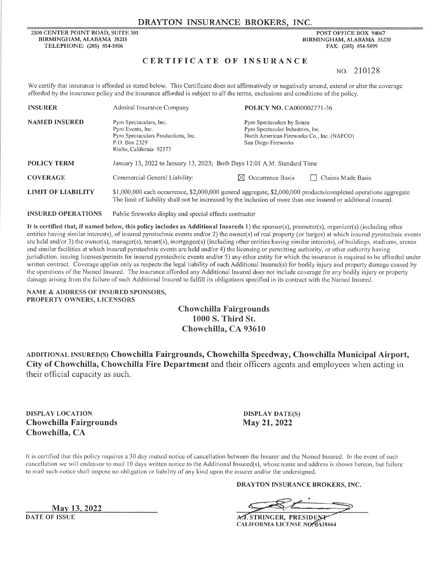#### DRAYTON INSURANCE BROKERS, INC.

2500 CENTER POINT ROAD, SUITE 301 BIRMINGHAM, ALABAMA 35215 TELEPHONE: (205) 854-5806

POST OFFICE BOX 94067 **BIRMINGHAM ALABAMA 35220** FAX: (205) 854-5899

#### CERTIFICATE OF INSURANCE

NO. 210128

We certify that insurance is afforded as stated below. This Certificate does not affirmatively or negatively amend, extend or alter the coverage afforded by the insurance policy and the insurance afforded is subject to all the terms, exclusions and conditions of the policy.

| <b>INSURER</b>            | Admiral Insurance Company                                                                                                                                                                                                         | POLICY NO. CA000002771-36                                                                                                            |                   |  |  |  |
|---------------------------|-----------------------------------------------------------------------------------------------------------------------------------------------------------------------------------------------------------------------------------|--------------------------------------------------------------------------------------------------------------------------------------|-------------------|--|--|--|
| <b>NAMED INSURED</b>      | Pyro Spectaculars, Inc.<br>Pyro Events, Inc.<br>Pyro Spectaculars Productions, Inc.<br>P.O. Box 2329<br>Rialto, California 92377                                                                                                  | Pyro Spectaculars by Souza<br>Pyro Spectacular Industries, Inc.<br>North American Fireworks Co., Inc. (NAFCO)<br>San Diego Fireworks |                   |  |  |  |
| <b>POLICY TERM</b>        | January 13, 2022 to January 13, 2023; Both Days 12:01 A.M. Standard Time                                                                                                                                                          |                                                                                                                                      |                   |  |  |  |
| <b>COVERAGE</b>           | Commercial General Liability:                                                                                                                                                                                                     | $\boxtimes$ Occurrence Basis                                                                                                         | Claims Made Basis |  |  |  |
| <b>LIMIT OF LIABILITY</b> | \$1,000,000 each occurrence, \$2,000,000 general aggregate, \$2,000,000 products/completed operations aggregate<br>The limit of liability shall not be increased by the inclusion of more than one insured or additional insured. |                                                                                                                                      |                   |  |  |  |

**INSURED OPERATIONS** Public fireworks display and special effects contractor

It is certified that, if named below, this policy includes as Additional Insureds 1) the sponsor(s), promoter(s), organizer(s) (including other entities having similar interests), of insured pyrotechnic events and/or 2) the owner(s) of real property (or barges) at which insured pyrotechnic events are held and/or 3) the owner(s), manager(s), tenant(s), mortgagee(s) (including other entities having similar interests), of buildings, stadiums, arenas and similar facilities at which insured pyrotechnic events are held and/or 4) the licensing or permitting authority, or other authority having jurisdiction, issuing licenses/permits for insured pyrotechnic events and/or 5) any other entity for which the insurance is required to be afforded under written contract. Coverage applies only as respects the legal liability of such Additional Insured(s) for bodily injury and property damage caused by the operations of the Named Insured. The insurance afforded any Additional Insured does not include coverage for any bodily injury or property damage arising from the failure of such Additional Insured to fulfill its obligations specified in its contract with the Named Insured.

NAME & ADDRESS OF INSURED SPONSORS, PROPERTY OWNERS, LICENSORS

#### **Chowchilla Fairgrounds** 1000 S. Third St. Chowchilla, CA 93610

ADDITIONAL INSURED(S) Chowchilla Fairgrounds, Chowchilla Speedway, Chowchilla Municipal Airport, City of Chowchilla, Chowchilla Fire Department and their officers agents and employees when acting in their official capacity as such.

**DISPLAY LOCATION Chowchilla Fairgrounds** Chowchilla, CA

**DISPLAY DATE(S)** May 21, 2022

It is certified that this policy requires a 30 day mutual notice of cancellation between the Insurer and the Named Insured. In the event of such cancellation we will endeavor to mail 10 days written notice to the Additional Insured(s), whose name and address is shown hereon, but failure to mail such notice shall impose no obligation or liability of any kind upon the insurer and/or the undersigned.

DRAYTON INSURANCE BROKERS, INC.

A.J. STRINGER, PRESIDENT **CALIFORNIA LICENSE NO. 0A18664** 

May 13, 2022

**DATE OF ISSUE**